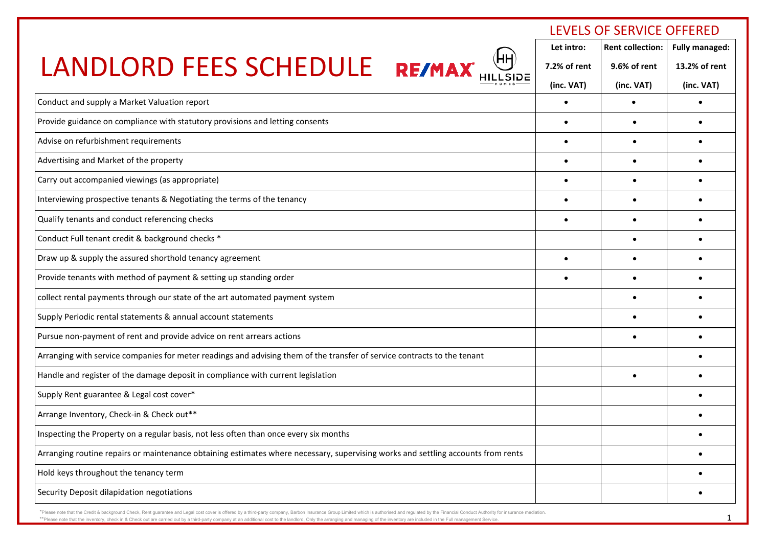|                                                                                                                                  | LEVELS OF SERVICE OFFERED |                         |                       |
|----------------------------------------------------------------------------------------------------------------------------------|---------------------------|-------------------------|-----------------------|
|                                                                                                                                  | Let intro:                | <b>Rent collection:</b> | <b>Fully managed:</b> |
| (HH<br>LANDLORD FEES SCHEDULE RE/MAX                                                                                             | 7.2% of rent              | 9.6% of rent            | 13.2% of rent         |
|                                                                                                                                  | (inc. VAT)                | (inc. VAT)              | (inc. VAT)            |
| Conduct and supply a Market Valuation report                                                                                     | $\bullet$                 | $\bullet$               |                       |
| Provide guidance on compliance with statutory provisions and letting consents                                                    | $\bullet$                 |                         |                       |
| Advise on refurbishment requirements                                                                                             | $\bullet$                 | $\bullet$               |                       |
| Advertising and Market of the property                                                                                           |                           | $\bullet$               |                       |
| Carry out accompanied viewings (as appropriate)                                                                                  |                           |                         |                       |
| Interviewing prospective tenants & Negotiating the terms of the tenancy                                                          | $\bullet$                 | $\bullet$               |                       |
| Qualify tenants and conduct referencing checks                                                                                   |                           |                         |                       |
| Conduct Full tenant credit & background checks *                                                                                 |                           | $\bullet$               |                       |
| Draw up & supply the assured shorthold tenancy agreement                                                                         | $\bullet$                 |                         |                       |
| Provide tenants with method of payment & setting up standing order                                                               |                           | $\bullet$               |                       |
| collect rental payments through our state of the art automated payment system                                                    |                           | $\bullet$               |                       |
| Supply Periodic rental statements & annual account statements                                                                    |                           |                         |                       |
| Pursue non-payment of rent and provide advice on rent arrears actions                                                            |                           |                         |                       |
| Arranging with service companies for meter readings and advising them of the transfer of service contracts to the tenant         |                           |                         |                       |
| Handle and register of the damage deposit in compliance with current legislation                                                 |                           | $\bullet$               |                       |
| Supply Rent guarantee & Legal cost cover*                                                                                        |                           |                         |                       |
| Arrange Inventory, Check-in & Check out**                                                                                        |                           |                         |                       |
| Inspecting the Property on a regular basis, not less often than once every six months                                            |                           |                         |                       |
| Arranging routine repairs or maintenance obtaining estimates where necessary, supervising works and settling accounts from rents |                           |                         |                       |
| Hold keys throughout the tenancy term                                                                                            |                           |                         |                       |
| Security Deposit dilapidation negotiations                                                                                       |                           |                         |                       |

\*Please note that the Credit & background Check, Rent guarantee and Legal cost cover is offered by a third-party company, Barbon Insurance Group Limited which is authorised and regulated by the Financial Conduct Authority \*\*Please note that the inventory, check in & Check out are carried out by a third-party company at an additional cost to the landlord, Only the arranging and managing of the inventory are included in the Full management Se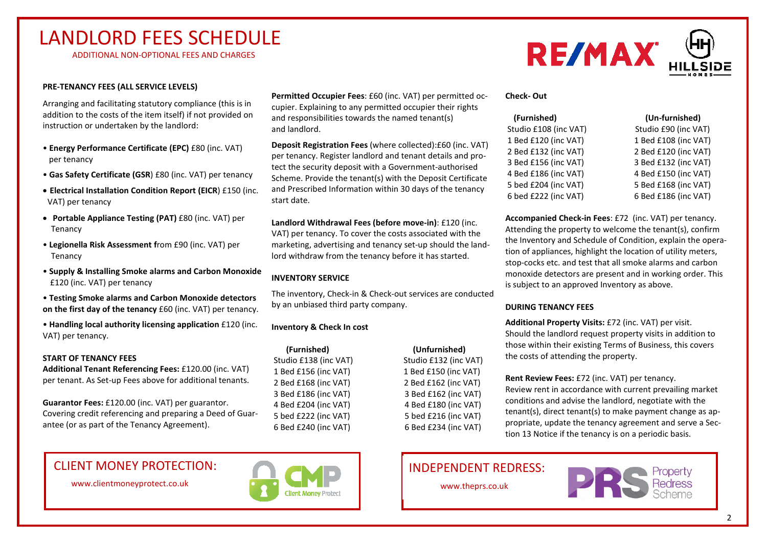# LANDLORD FEES SCHEDULE

ADDITIONAL NON-OPTIONAL FEES AND CHARGES

#### **PRE-TENANCY FEES (ALL SERVICE LEVELS)**

Arranging and facilitating statutory compliance (this is in addition to the costs of the item itself) if not provided on instruction or undertaken by the landlord:

- **Energy Performance Certificate (EPC)** £80 (inc. VAT) per tenancy
- **Gas Safety Certificate (GSR**) £80 (inc. VAT) per tenancy
- **Electrical Installation Condition Report (EICR**) £150 (inc. VAT) per tenancy
- **Portable Appliance Testing (PAT)** £80 (inc. VAT) per Tenancy
- **Legionella Risk Assessment f**rom £90 (inc. VAT) per Tenancy
- **Supply & Installing Smoke alarms and Carbon Monoxide** £120 (inc. VAT) per tenancy
- **Testing Smoke alarms and Carbon Monoxide detectors on the first day of the tenancy** £60 (inc. VAT) per tenancy.
- **Handling local authority licensing application** £120 (inc. VAT) per tenancy.

#### **START OF TENANCY FEES**

**Additional Tenant Referencing Fees:** £120.00 (inc. VAT) per tenant. As Set-up Fees above for additional tenants.

**Guarantor Fees:** £120.00 (inc. VAT) per guarantor. Covering credit referencing and preparing a Deed of Guarantee (or as part of the Tenancy Agreement).

CLIENT MONEY PROTECTION: **INDEPENDENT REDRESS:** 

www.clientmoneyprotect.co.uk



**Permitted Occupier Fees**: £60 (inc. VAT) per permitted occupier. Explaining to any permitted occupier their rights and responsibilities towards the named tenant(s) and landlord.

**Deposit Registration Fees** (where collected):£60 (inc. VAT) per tenancy. Register landlord and tenant details and protect the security deposit with a Government-authorised Scheme. Provide the tenant(s) with the Deposit Certificate and Prescribed Information within 30 days of the tenancy start date.

**Landlord Withdrawal Fees (before move-in)**: £120 (inc. VAT) per tenancy. To cover the costs associated with the marketing, advertising and tenancy set-up should the landlord withdraw from the tenancy before it has started.

#### **INVENTORY SERVICE**

The inventory, Check-in & Check-out services are conducted by an unbiased third party company.

### **Inventory & Check In cost**

 **(Furnished) (Unfurnished)**

 Studio £138 (inc VAT) Studio £132 (inc VAT) 1 Bed £156 (inc VAT) 1 Bed £150 (inc VAT) 2 Bed £168 (inc VAT) 2 Bed £162 (inc VAT) 3 Bed £186 (inc VAT) 3 Bed £162 (inc VAT) 4 Bed £204 (inc VAT) 4 Bed £180 (inc VAT) 5 bed £222 (inc VAT) 5 bed £216 (inc VAT) 6 Bed £240 (inc VAT) 6 Bed £234 (inc VAT)

#### **Check- Out**

| (Furnished)           | (Un-furnished)       |
|-----------------------|----------------------|
| Studio £108 (inc VAT) | Studio £90 (inc VAT) |
| 1 Bed £120 (inc VAT)  | 1 Bed £108 (inc VAT) |
| 2 Bed £132 (inc VAT)  | 2 Bed £120 (inc VAT) |
| 3 Bed £156 (inc VAT)  | 3 Bed £132 (inc VAT) |
| 4 Bed £186 (inc VAT)  | 4 Bed £150 (inc VAT) |
| 5 bed £204 (inc VAT)  | 5 Bed £168 (inc VAT) |
| 6 bed £222 (inc VAT)  | 6 Bed £186 (inc VAT) |

**Accompanied Check-in Fees**: £72 (inc. VAT) per tenancy. Attending the property to welcome the tenant(s), confirm the Inventory and Schedule of Condition, explain the operation of appliances, highlight the location of utility meters, stop-cocks etc. and test that all smoke alarms and carbon monoxide detectors are present and in working order. This is subject to an approved Inventory as above.

#### **DURING TENANCY FEES**

**Additional Property Visits:** £72 (inc. VAT) per visit. Should the landlord request property visits in addition to those within their existing Terms of Business, this covers the costs of attending the property.

**Rent Review Fees:** £72 (inc. VAT) per tenancy. Review rent in accordance with current prevailing market conditions and advise the landlord, negotiate with the tenant(s), direct tenant(s) to make payment change as appropriate, update the tenancy agreement and serve a Section 13 Notice if the tenancy is on a periodic basis.

www.theprs.co.uk